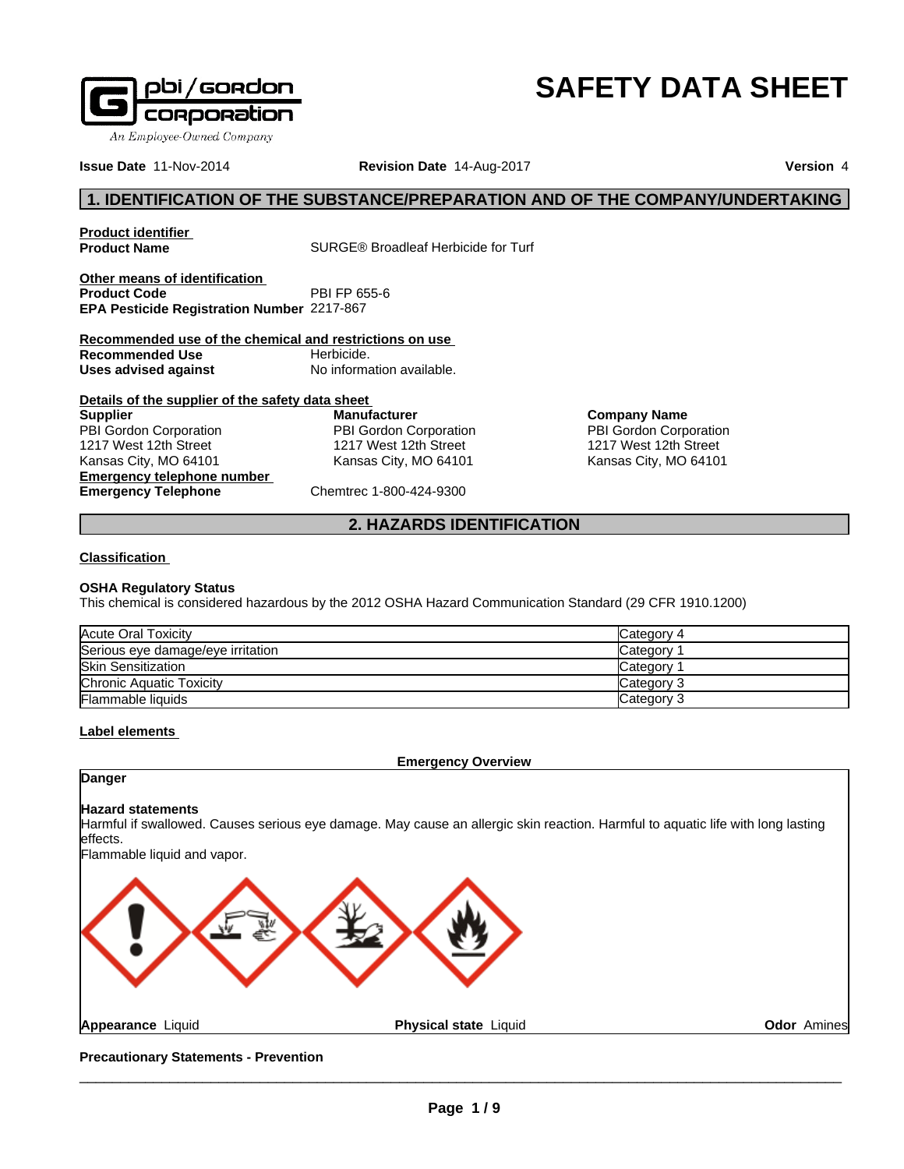

# **SAFETY DATA SHEET**

**Issue Date** 11-Nov-2014 **Revision Date** 14-Aug-2017 **Version** 4

### **1. IDENTIFICATION OF THE SUBSTANCE/PREPARATION AND OF THE COMPANY/UNDERTAKING**

**Product identifier**

**SURGE® Broadleaf Herbicide for Turf** 

**Other means of identification**<br>**Product Code** PBI FP 655-6 **Product Code EPA Pesticide Registration Number** 2217-867

**Recommended use of the chemical and restrictions on use Recommended Use Herbicide. Uses advised against** No information available.

**Details of the supplier of the safety data sheet Emergency telephone number Emergency Telephone** Chemtrec 1-800-424-9300 **Supplier** PBI Gordon Corporation 1217 West 12th Street Kansas City, MO 64101

**Manufacturer** PBI Gordon Corporation 1217 West 12th Street Kansas City, MO 64101

**Company Name** PBI Gordon Corporation 1217 West 12th Street Kansas City, MO 64101

## **2. HAZARDS IDENTIFICATION**

#### **Classification**

#### **OSHA Regulatory Status**

This chemical is considered hazardous by the 2012 OSHA Hazard Communication Standard (29 CFR 1910.1200)

| Acute Oral Toxicity               | Category 4 |
|-----------------------------------|------------|
| Serious eye damage/eye irritation | Category   |
| <b>Skin Sensitization</b>         | Category   |
| Chronic Aquatic Toxicity          | Category 3 |
| <b>Flammable liquids</b>          | Category 3 |

#### **Label elements**

**Emergency Overview**

### **Danger**

#### **Hazard statements**

Harmful if swallowed. Causes serious eye damage. May cause an allergic skin reaction. Harmful to aquatic life with long lasting effects.

Flammable liquid and vapor.



**Appearance** Liquid **Physical state** Liquid

**Odor** Amines

**Precautionary Statements - Prevention**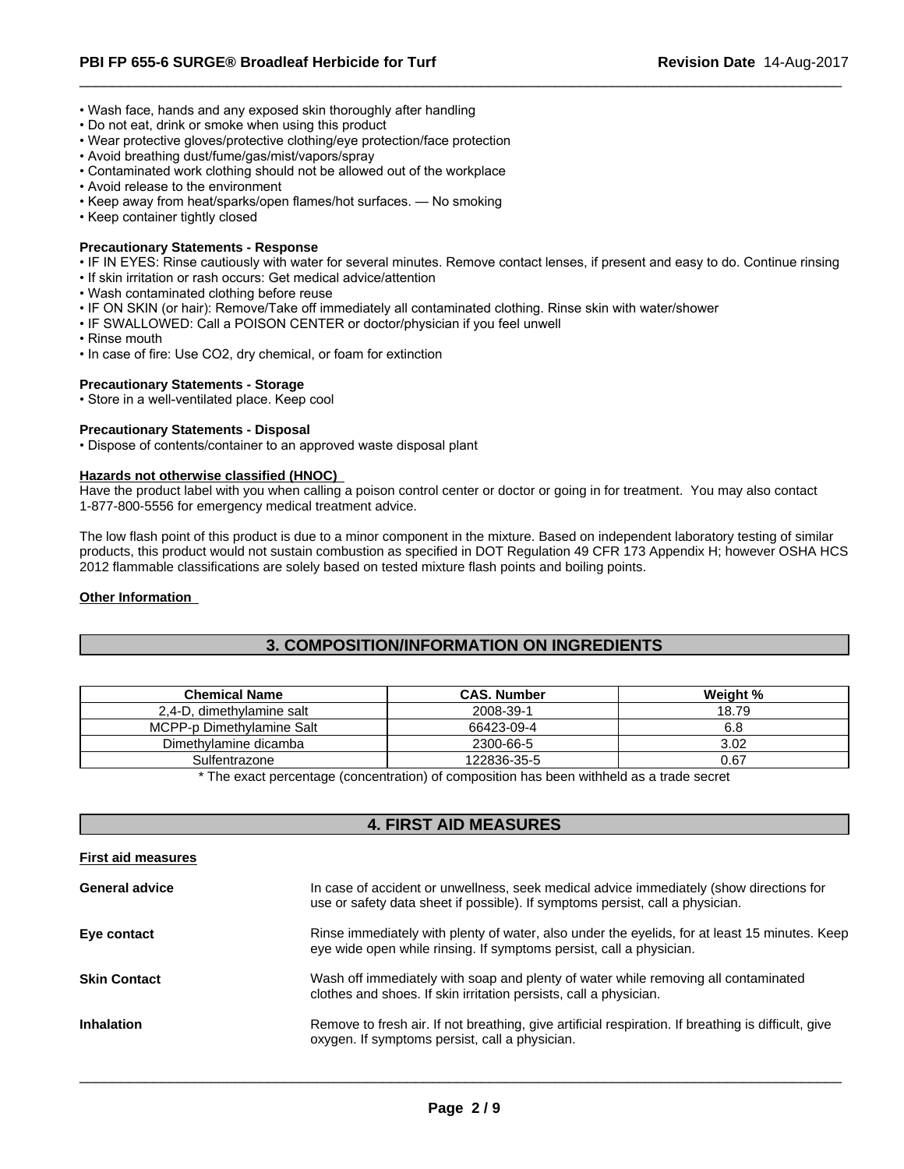- Wash face, hands and any exposed skin thoroughly after handling
- Do not eat, drink or smoke when using this product
- Wear protective gloves/protective clothing/eye protection/face protection
- Avoid breathing dust/fume/gas/mist/vapors/spray
- Contaminated work clothing should not be allowed out of the workplace
- Avoid release to the environment
- Keep away from heat/sparks/open flames/hot surfaces. No smoking
- Keep container tightly closed

#### **Precautionary Statements - Response**

- IF IN EYES: Rinse cautiously with water for several minutes. Remove contact lenses, if present and easy to do. Continue rinsing
- If skin irritation or rash occurs: Get medical advice/attention
- Wash contaminated clothing before reuse
- IF ON SKIN (or hair): Remove/Take off immediately all contaminated clothing. Rinse skin with water/shower
- IF SWALLOWED: Call a POISON CENTER or doctor/physician if you feel unwell
- Rinse mouth
- In case of fire: Use CO2, dry chemical, or foam for extinction

#### **Precautionary Statements - Storage**

• Store in a well-ventilated place. Keep cool

#### **Precautionary Statements - Disposal**

• Dispose of contents/container to an approved waste disposal plant

#### **Hazards not otherwise classified (HNOC)**

Have the product label with you when calling a poison control center or doctor or going in for treatment. You may also contact 1-877-800-5556 for emergency medical treatment advice.

The low flash point of this product is due to a minor component in the mixture. Based on independent laboratory testing of similar products, this product would not sustain combustion as specified in DOT Regulation 49 CFR 173 Appendix H; however OSHA HCS 2012 flammable classifications are solely based on tested mixture flash points and boiling points.

#### **Other Information**

### **3. COMPOSITION/INFORMATION ON INGREDIENTS**

| <b>Chemical Name</b>      | <b>CAS. Number</b> | Weight % |
|---------------------------|--------------------|----------|
| 2,4-D, dimethylamine salt | 2008-39-1          | 18.79    |
| MCPP-p Dimethylamine Salt | 66423-09-4         | 6.8      |
| Dimethylamine dicamba     | 2300-66-5          | 3.02     |
| Sulfentrazone             | 122836-35-5        | 0.67     |

\* The exact percentage (concentration) of composition has been withheld as a trade secret

#### **4. FIRST AID MEASURES**

| In case of accident or unwellness, seek medical advice immediately (show directions for<br>use or safety data sheet if possible). If symptoms persist, call a physician. |
|--------------------------------------------------------------------------------------------------------------------------------------------------------------------------|
| Rinse immediately with plenty of water, also under the eyelids, for at least 15 minutes. Keep<br>eye wide open while rinsing. If symptoms persist, call a physician.     |
| Wash off immediately with soap and plenty of water while removing all contaminated<br>clothes and shoes. If skin irritation persists, call a physician.                  |
| Remove to fresh air. If not breathing, give artificial respiration. If breathing is difficult, give<br>oxygen. If symptoms persist, call a physician.                    |
|                                                                                                                                                                          |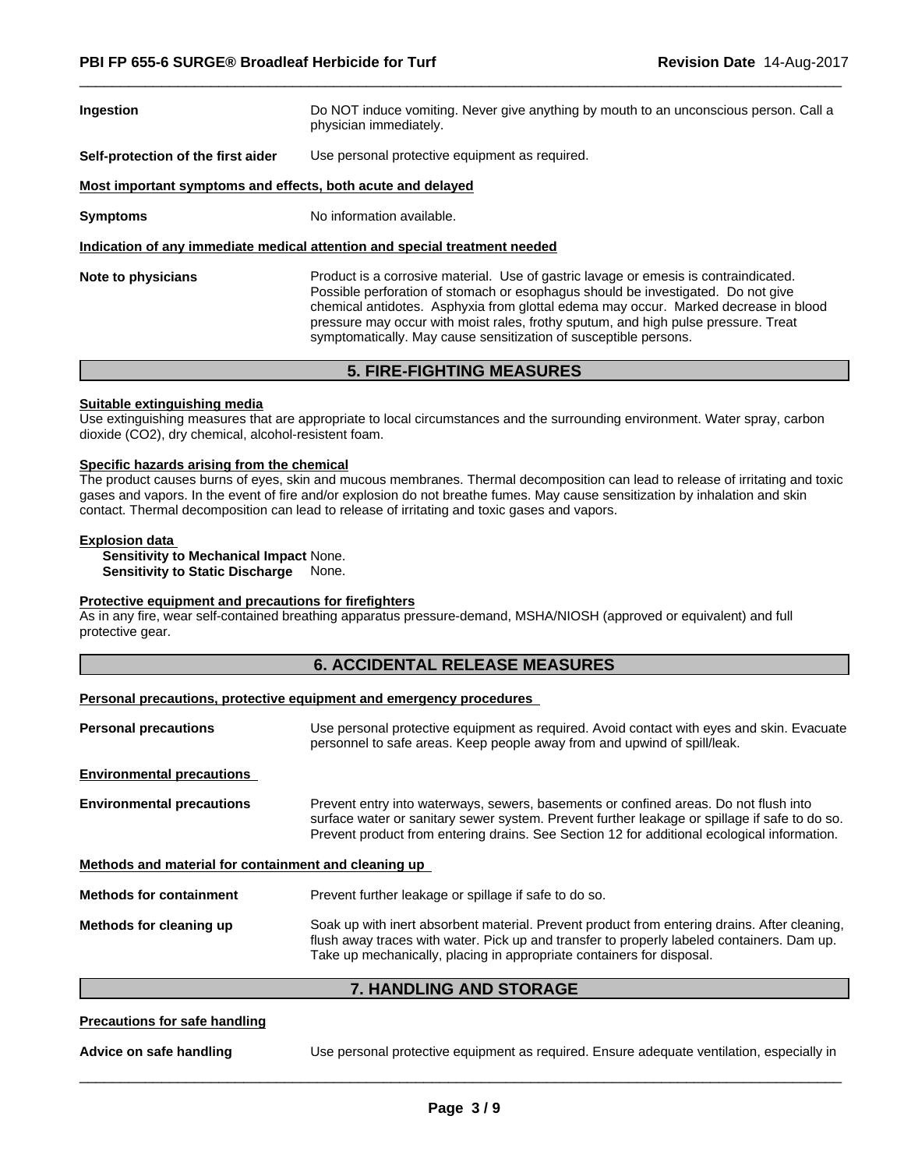| <b>Ingestion</b>                                            | Do NOT induce vomiting. Never give anything by mouth to an unconscious person. Call a<br>physician immediately.                                                                                                                                                                                                                                                                                                           |
|-------------------------------------------------------------|---------------------------------------------------------------------------------------------------------------------------------------------------------------------------------------------------------------------------------------------------------------------------------------------------------------------------------------------------------------------------------------------------------------------------|
| Self-protection of the first aider                          | Use personal protective equipment as required.                                                                                                                                                                                                                                                                                                                                                                            |
| Most important symptoms and effects, both acute and delayed |                                                                                                                                                                                                                                                                                                                                                                                                                           |
| <b>Symptoms</b>                                             | No information available.                                                                                                                                                                                                                                                                                                                                                                                                 |
|                                                             | Indication of any immediate medical attention and special treatment needed                                                                                                                                                                                                                                                                                                                                                |
| Note to physicians                                          | Product is a corrosive material. Use of gastric lavage or emesis is contraindicated.<br>Possible perforation of stomach or esophagus should be investigated. Do not give<br>chemical antidotes. Asphyxia from glottal edema may occur. Marked decrease in blood<br>pressure may occur with moist rales, frothy sputum, and high pulse pressure. Treat<br>symptomatically. May cause sensitization of susceptible persons. |

### **5. FIRE-FIGHTING MEASURES**

#### **Suitable extinguishing media**

Use extinguishing measures that are appropriate to local circumstances and the surrounding environment. Water spray, carbon dioxide (CO2), dry chemical, alcohol-resistent foam.

#### **Specific hazards arising from the chemical**

The product causes burns of eyes, skin and mucous membranes. Thermal decomposition can lead to release of irritating and toxic gases and vapors. In the event of fire and/or explosion do not breathe fumes. May cause sensitization by inhalation and skin contact. Thermal decomposition can lead to release of irritating and toxic gases and vapors.

#### **Explosion data**

**Sensitivity to Mechanical Impact** None. **Sensitivity to Static Discharge** None.

#### **Protective equipment and precautions for firefighters**

As in any fire, wear self-contained breathing apparatus pressure-demand, MSHA/NIOSH (approved or equivalent) and full protective gear.

### **6. ACCIDENTAL RELEASE MEASURES**

#### **Personal precautions, protective equipment and emergency procedures**

| <b>Personal precautions</b>                          | Use personal protective equipment as required. Avoid contact with eyes and skin. Evacuate<br>personnel to safe areas. Keep people away from and upwind of spill/leak.                                                                                                                |  |
|------------------------------------------------------|--------------------------------------------------------------------------------------------------------------------------------------------------------------------------------------------------------------------------------------------------------------------------------------|--|
| <b>Environmental precautions</b>                     |                                                                                                                                                                                                                                                                                      |  |
| <b>Environmental precautions</b>                     | Prevent entry into waterways, sewers, basements or confined areas. Do not flush into<br>surface water or sanitary sewer system. Prevent further leakage or spillage if safe to do so.<br>Prevent product from entering drains. See Section 12 for additional ecological information. |  |
| Methods and material for containment and cleaning up |                                                                                                                                                                                                                                                                                      |  |
| <b>Methods for containment</b>                       | Prevent further leakage or spillage if safe to do so.                                                                                                                                                                                                                                |  |
| Methods for cleaning up                              | Soak up with inert absorbent material. Prevent product from entering drains. After cleaning,<br>flush away traces with water. Pick up and transfer to properly labeled containers. Dam up.<br>Take up mechanically, placing in appropriate containers for disposal.                  |  |

#### **7. HANDLING AND STORAGE**

#### **Precautions for safe handling**

**Advice on safe handling** Use personal protective equipment as required.Ensure adequate ventilation, especially in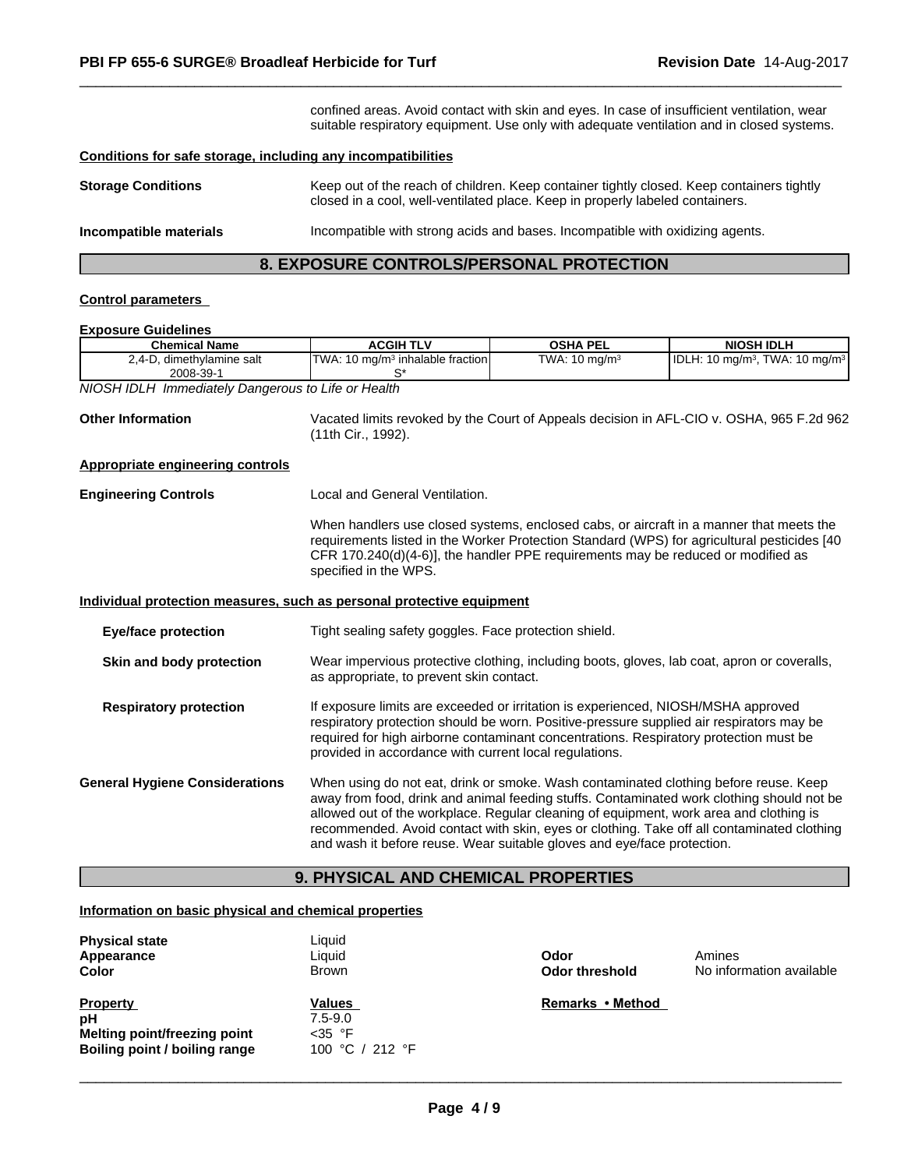confined areas. Avoid contact with skin and eyes. In case of insufficient ventilation, wear suitable respiratory equipment. Use only with adequate ventilation and in closed systems.

#### **Conditions for safe storage, including any incompatibilities**

| <b>Storage Conditions</b> | Keep out of the reach of children. Keep container tightly closed. Keep containers tightly<br>closed in a cool, well-ventilated place. Keep in properly labeled containers. |
|---------------------------|----------------------------------------------------------------------------------------------------------------------------------------------------------------------------|
| Incompatible materials    | Incompatible with strong acids and bases. Incompatible with oxidizing agents.                                                                                              |

### **8. EXPOSURE CONTROLS/PERSONAL PROTECTION**

#### **Control parameters**

### **Exposure Guidelines**

| <b>Chemical Name</b>                                                  | <b>ACGIH TLV</b>                                                                                                                                                                                                                                                                                                                 | <b>OSHA PEL</b>          | <b>NIOSH IDLH</b>                                                                                                                                                                       |
|-----------------------------------------------------------------------|----------------------------------------------------------------------------------------------------------------------------------------------------------------------------------------------------------------------------------------------------------------------------------------------------------------------------------|--------------------------|-----------------------------------------------------------------------------------------------------------------------------------------------------------------------------------------|
| 2,4-D, dimethylamine salt<br>2008-39-1                                | TWA: 10 mg/m <sup>3</sup> inhalable fraction<br>`S                                                                                                                                                                                                                                                                               | TWA: $10 \text{ mg/m}^3$ | IDLH: 10 mg/m <sup>3</sup> , TWA: 10 mg/m <sup>3</sup>                                                                                                                                  |
| NIOSH IDLH Immediately Dangerous to Life or Health                    |                                                                                                                                                                                                                                                                                                                                  |                          |                                                                                                                                                                                         |
| <b>Other Information</b>                                              | (11th Cir., 1992).                                                                                                                                                                                                                                                                                                               |                          | Vacated limits revoked by the Court of Appeals decision in AFL-CIO v. OSHA, 965 F.2d 962                                                                                                |
| Appropriate engineering controls                                      |                                                                                                                                                                                                                                                                                                                                  |                          |                                                                                                                                                                                         |
| <b>Engineering Controls</b>                                           | Local and General Ventilation.                                                                                                                                                                                                                                                                                                   |                          |                                                                                                                                                                                         |
|                                                                       | When handlers use closed systems, enclosed cabs, or aircraft in a manner that meets the<br>requirements listed in the Worker Protection Standard (WPS) for agricultural pesticides [40<br>CFR 170.240(d)(4-6)], the handler PPE requirements may be reduced or modified as<br>specified in the WPS.                              |                          |                                                                                                                                                                                         |
| Individual protection measures, such as personal protective equipment |                                                                                                                                                                                                                                                                                                                                  |                          |                                                                                                                                                                                         |
| <b>Eye/face protection</b>                                            | Tight sealing safety goggles. Face protection shield.                                                                                                                                                                                                                                                                            |                          |                                                                                                                                                                                         |
| Skin and body protection                                              | Wear impervious protective clothing, including boots, gloves, lab coat, apron or coveralls,<br>as appropriate, to prevent skin contact.                                                                                                                                                                                          |                          |                                                                                                                                                                                         |
| <b>Respiratory protection</b>                                         | If exposure limits are exceeded or irritation is experienced, NIOSH/MSHA approved<br>respiratory protection should be worn. Positive-pressure supplied air respirators may be<br>required for high airborne contaminant concentrations. Respiratory protection must be<br>provided in accordance with current local regulations. |                          |                                                                                                                                                                                         |
| <b>General Hygiene Considerations</b>                                 | When using do not eat, drink or smoke. Wash contaminated clothing before reuse. Keep<br>allowed out of the workplace. Regular cleaning of equipment, work area and clothing is<br>and wash it before reuse. Wear suitable gloves and eye/face protection.                                                                        |                          | away from food, drink and animal feeding stuffs. Contaminated work clothing should not be<br>recommended. Avoid contact with skin, eyes or clothing. Take off all contaminated clothing |

### **9. PHYSICAL AND CHEMICAL PROPERTIES**

### **Information on basic physical and chemical properties**

| <b>Physical state</b><br>Appearance<br><b>Color</b>                                           | Liquid<br>Liquid<br><b>Brown</b>                  | Odor<br><b>Odor threshold</b> | Amines<br>No information available |
|-----------------------------------------------------------------------------------------------|---------------------------------------------------|-------------------------------|------------------------------------|
| <b>Property</b><br>pH<br><b>Melting point/freezing point</b><br>Boiling point / boiling range | Values<br>7.5-9.0<br>$<$ 35 °F<br>100 °C / 212 °F | Remarks • Method              |                                    |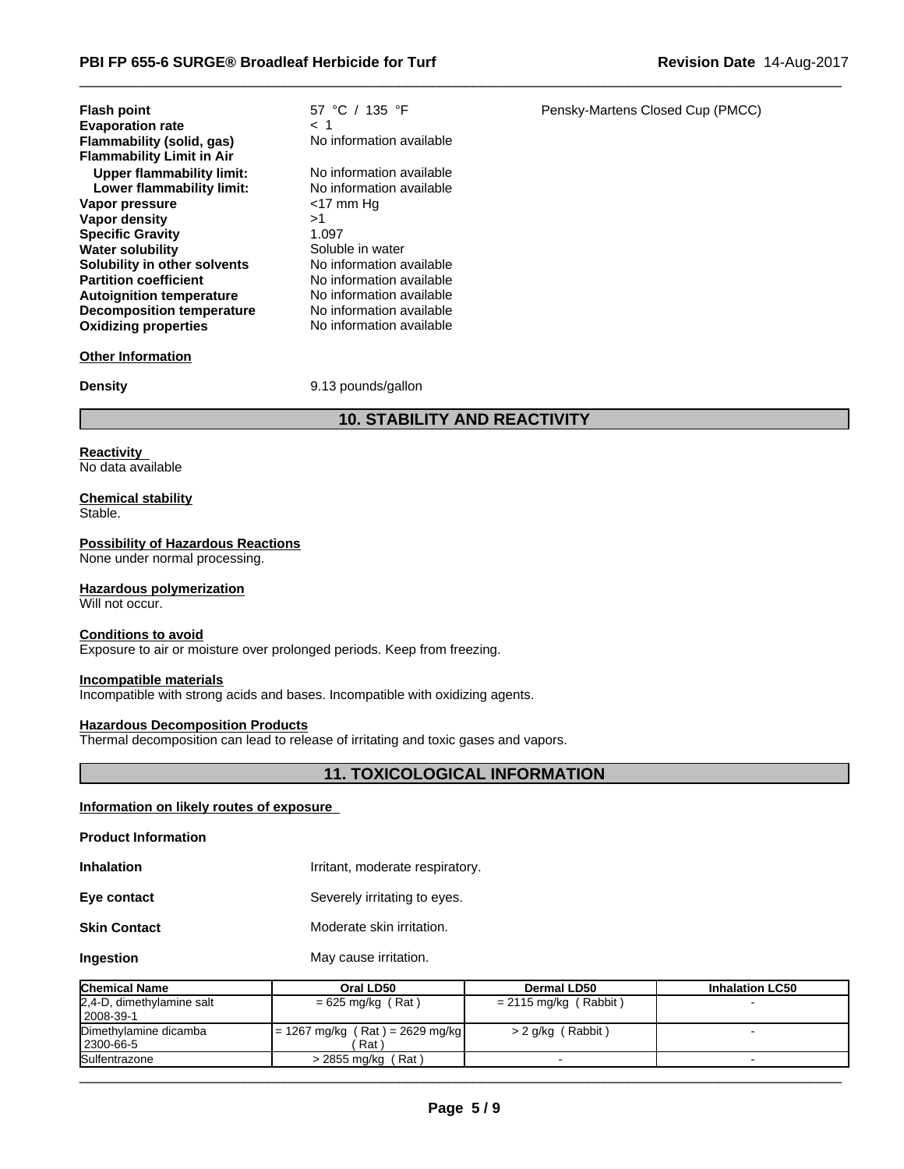| Flash point                      | 57 °C 7 135 °F           |
|----------------------------------|--------------------------|
| <b>Evaporation rate</b>          | 1 >                      |
| Flammability (solid, gas)        | No information available |
| <b>Flammability Limit in Air</b> |                          |
| <b>Upper flammability limit:</b> | No information available |
| Lower flammability limit:        | No information available |
| Vapor pressure                   | $<$ 17 mm Hq             |
| Vapor density                    | >1                       |
| <b>Specific Gravity</b>          | 1.097                    |
| <b>Water solubility</b>          | Soluble in water         |
| Solubility in other solvents     | No information available |
| <b>Partition coefficient</b>     | No information available |
| <b>Autoignition temperature</b>  | No information available |
| <b>Decomposition temperature</b> | No information available |
| <b>Oxidizing properties</b>      | No information available |

57 °C / 135 °F **Pensky-Martens Closed Cup (PMCC)** 

#### **Other Information**

**Density** 9.13 pounds/gallon

### **10. STABILITY AND REACTIVITY**

#### **Reactivity**

No data available

### **Chemical stability**

Stable.

#### **Possibility of Hazardous Reactions**

None under normal processing.

#### **Hazardous polymerization**

Will not occur.

#### **Conditions to avoid**

Exposure to air or moisture over prolonged periods. Keep from freezing.

#### **Incompatible materials**

Incompatible with strong acids and bases. Incompatible with oxidizing agents.

### **Hazardous Decomposition Products**

Thermal decomposition can lead to release of irritating and toxic gases and vapors.

#### **11. TOXICOLOGICAL INFORMATION**

#### **Information on likely routes of exposure**

**Product Information**

**Inhalation Inhalation I**rritant, moderate respiratory.

**Eye contact** Severely irritating to eyes.

**Skin Contact** Moderate skin irritation.

**Ingestion** May cause irritation.

| <b>Chemical Name</b>                     | Oral LD50                         | Dermal LD50             | <b>Inhalation LC50</b> |
|------------------------------------------|-----------------------------------|-------------------------|------------------------|
| 2,4-D, dimethylamine salt<br>l 2008-39-1 | $= 625$ mg/kg (Rat)               | $= 2115$ mg/kg (Rabbit) |                        |
| Dimethylamine dicamba                    | $= 1267$ mg/kg (Rat) = 2629 mg/kg | $> 2$ g/kg (Rabbit)     |                        |
| 2300-66-5                                | Rat )                             |                         |                        |
| Sulfentrazone                            | > 2855 mg/kg (Rat)                |                         |                        |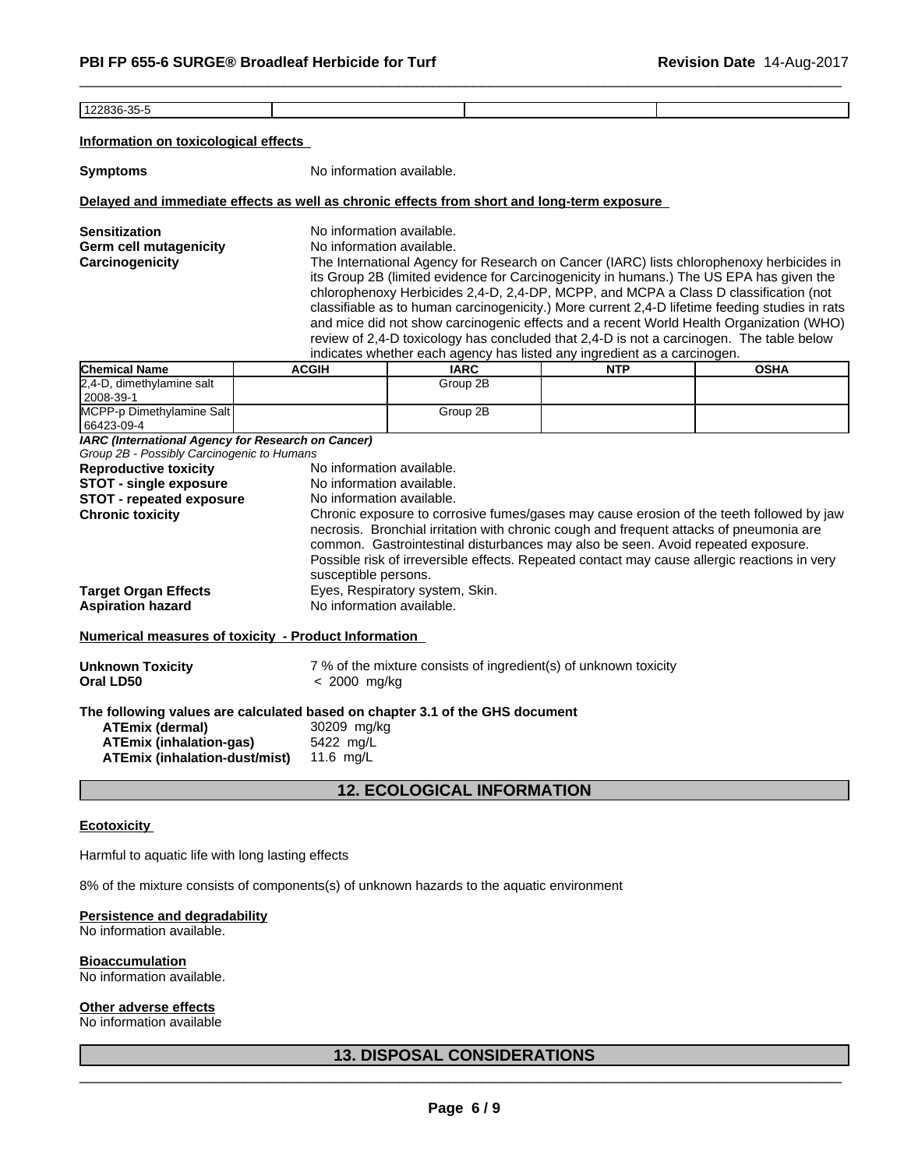| 10000000000<br>∕∠opo-35-5<br>. |  |  |
|--------------------------------|--|--|
|                                |  |  |

#### **Information on toxicological effects**

**Symptoms** No information available.

#### **Delayed and immediate effects as well as chronic effects from short and long-term exposure**

| <b>Sensitization</b>   | No information available.                                                                                                                                                                                                                                                                                                                                                                                                                                                                                                                                            |
|------------------------|----------------------------------------------------------------------------------------------------------------------------------------------------------------------------------------------------------------------------------------------------------------------------------------------------------------------------------------------------------------------------------------------------------------------------------------------------------------------------------------------------------------------------------------------------------------------|
| Germ cell mutagenicity | No information available.                                                                                                                                                                                                                                                                                                                                                                                                                                                                                                                                            |
| Carcinogenicity        | The International Agency for Research on Cancer (IARC) lists chlorophenoxy herbicides in<br>its Group 2B (limited evidence for Carcinogenicity in humans.) The US EPA has given the<br>chlorophenoxy Herbicides 2.4-D, 2.4-DP, MCPP, and MCPA a Class D classification (not<br>classifiable as to human carcinogenicity.) More current 2,4-D lifetime feeding studies in rats<br>and mice did not show carcinogenic effects and a recent World Health Organization (WHO)<br>review of 2.4-D toxicology has concluded that 2.4-D is not a carcinogen. The table below |
|                        | indicates whether each agency has listed any ingredient as a carcinogen.                                                                                                                                                                                                                                                                                                                                                                                                                                                                                             |

| <b>Chemical Name</b>                    | <b>ACGIH</b> | <b>IARC</b> | <b>NTP</b> | <b>OSHA</b> |
|-----------------------------------------|--------------|-------------|------------|-------------|
| 2,4-D, dimethylamine salt<br>2008-39-1  |              | Group 2B    |            |             |
| MCPP-p Dimethylamine Salt<br>66423-09-4 |              | Group 2B    |            |             |

*IARC (International Agency for Research on Cancer)*

|  | Group 2B - Possibly Carcinogenic to Humans |
|--|--------------------------------------------|
|--|--------------------------------------------|

| <b>U</b> U U LU – I USSIDIY UGIUINUQUIIIU IU HUIHUHS |                                                                                                                                                                                                                                                                                                                                                                                                 |
|------------------------------------------------------|-------------------------------------------------------------------------------------------------------------------------------------------------------------------------------------------------------------------------------------------------------------------------------------------------------------------------------------------------------------------------------------------------|
| <b>Reproductive toxicity</b>                         | No information available.                                                                                                                                                                                                                                                                                                                                                                       |
| <b>STOT - single exposure</b>                        | No information available.                                                                                                                                                                                                                                                                                                                                                                       |
| <b>STOT - repeated exposure</b>                      | No information available.                                                                                                                                                                                                                                                                                                                                                                       |
| <b>Chronic toxicity</b>                              | Chronic exposure to corrosive fumes/gases may cause erosion of the teeth followed by jaw<br>necrosis. Bronchial irritation with chronic cough and frequent attacks of pneumonia are<br>common. Gastrointestinal disturbances may also be seen. Avoid repeated exposure.<br>Possible risk of irreversible effects. Repeated contact may cause allergic reactions in very<br>susceptible persons. |
| <b>Target Organ Effects</b>                          | Eyes, Respiratory system, Skin.                                                                                                                                                                                                                                                                                                                                                                 |
| <b>Aspiration hazard</b>                             | No information available.                                                                                                                                                                                                                                                                                                                                                                       |
| Numerical measures of toxicity - Product Information |                                                                                                                                                                                                                                                                                                                                                                                                 |
| <b>Unknown Toxicity</b>                              | 7 % of the mixture consists of ingredient(s) of unknown toxicity                                                                                                                                                                                                                                                                                                                                |

**Oral LD50** < 2000 mg/kg

**The following values are calculated based on chapter 3.1 of the GHS document**

| ATEmix (dermal)                      | 30209 mg/kg |
|--------------------------------------|-------------|
| <b>ATEmix (inhalation-gas)</b>       | 5422 mg/L   |
| <b>ATEmix (inhalation-dust/mist)</b> | 11.6 ma/L   |

**12. ECOLOGICAL INFORMATION**

#### **Ecotoxicity**

Harmful to aquatic life with long lasting effects

8% of the mixture consists of components(s) of unknown hazards to the aquatic environment

#### **Persistence and degradability**

No information available.

### **Bioaccumulation**

No information available.

#### **Other adverse effects**

No information available

#### **13. DISPOSAL CONSIDERATIONS**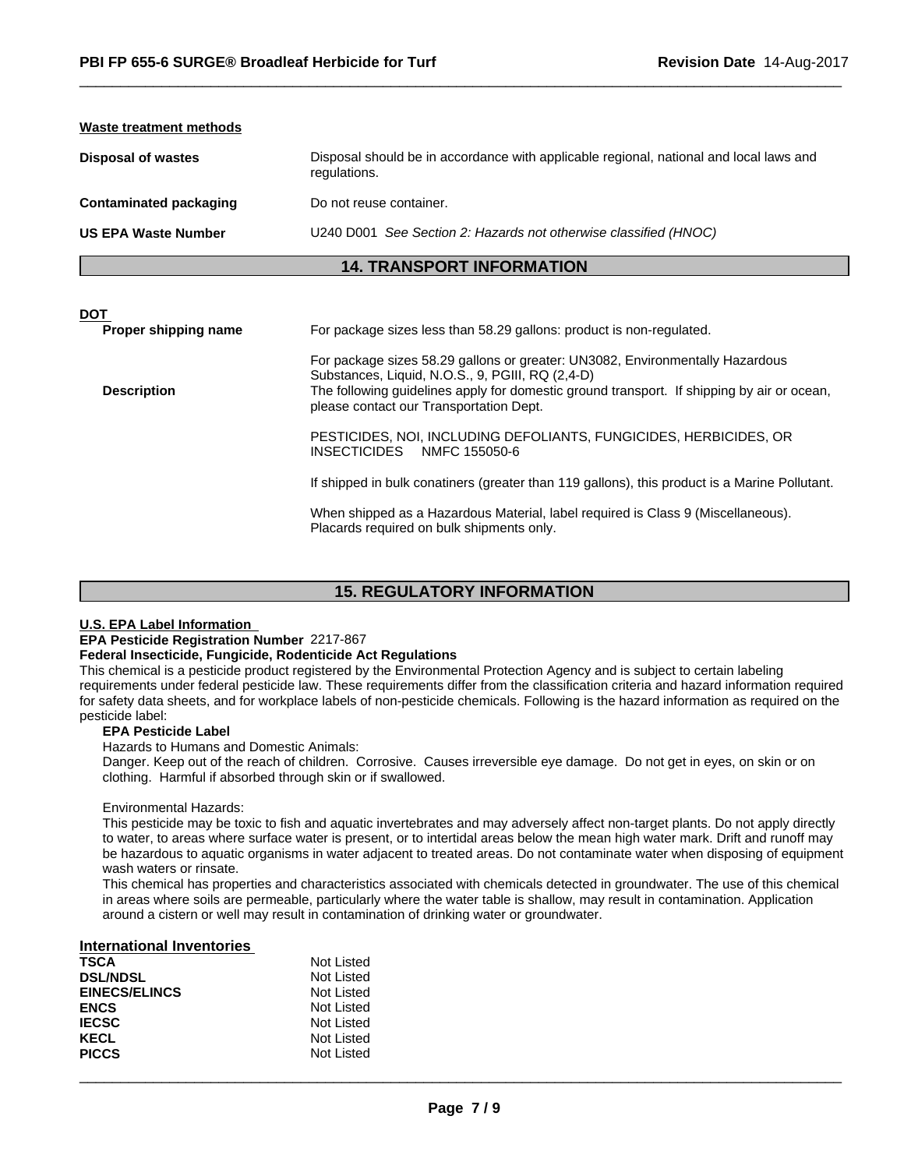| Waste treatment methods       |                                                                                                                                                                                                                                                                            |  |  |  |  |
|-------------------------------|----------------------------------------------------------------------------------------------------------------------------------------------------------------------------------------------------------------------------------------------------------------------------|--|--|--|--|
| Disposal of wastes            | Disposal should be in accordance with applicable regional, national and local laws and<br>regulations.                                                                                                                                                                     |  |  |  |  |
| <b>Contaminated packaging</b> | Do not reuse container.                                                                                                                                                                                                                                                    |  |  |  |  |
| <b>US EPA Waste Number</b>    | U240 D001 See Section 2: Hazards not otherwise classified (HNOC)                                                                                                                                                                                                           |  |  |  |  |
|                               | <b>14. TRANSPORT INFORMATION</b>                                                                                                                                                                                                                                           |  |  |  |  |
|                               |                                                                                                                                                                                                                                                                            |  |  |  |  |
| <b>DOT</b>                    |                                                                                                                                                                                                                                                                            |  |  |  |  |
| Proper shipping name          | For package sizes less than 58.29 gallons: product is non-regulated.                                                                                                                                                                                                       |  |  |  |  |
| <b>Description</b>            | For package sizes 58.29 gallons or greater: UN3082, Environmentally Hazardous<br>Substances, Liquid, N.O.S., 9, PGIII, RQ (2,4-D)<br>The following guidelines apply for domestic ground transport. If shipping by air or ocean,<br>please contact our Transportation Dept. |  |  |  |  |
|                               | PESTICIDES, NOI, INCLUDING DEFOLIANTS, FUNGICIDES, HERBICIDES, OR<br><b>INSECTICIDES</b><br>NMFC 155050-6                                                                                                                                                                  |  |  |  |  |
|                               | If shipped in bulk conatiners (greater than 119 gallons), this product is a Marine Pollutant.                                                                                                                                                                              |  |  |  |  |

When shipped as a Hazardous Material, label required is Class 9 (Miscellaneous). Placards required on bulk shipments only.

### **15. REGULATORY INFORMATION**

#### **U.S. EPA Label Information**

#### **EPA Pesticide Registration Number** 2217-867

#### **Federal Insecticide, Fungicide, Rodenticide Act Regulations**

This chemical is a pesticide product registered by the Environmental Protection Agency and is subject to certain labeling requirements under federal pesticide law. These requirements differ from the classification criteria and hazard information required for safety data sheets, and for workplace labels of non-pesticide chemicals. Following is the hazard information as required on the pesticide label:

#### **EPA Pesticide Label**

Hazards to Humans and Domestic Animals:

Danger. Keep out of the reach of children. Corrosive. Causes irreversible eye damage. Do not get in eyes, on skin or on clothing. Harmful if absorbed through skin or if swallowed.

Environmental Hazards:

This pesticide may be toxic to fish and aquatic invertebrates and may adversely affect non-target plants. Do not apply directly to water, to areas where surface water is present, or to intertidal areas below the mean high water mark. Drift and runoff may be hazardous to aquatic organisms in water adjacent to treated areas. Do not contaminate water when disposing of equipment wash waters or rinsate.

This chemical has properties and characteristics associated with chemicals detected in groundwater. The use of this chemical in areas where soils are permeable, particularly where the water table is shallow, may result in contamination. Application around a cistern or well may result in contamination of drinking water or groundwater.

#### **International Inventories**

| <b>TSCA</b>          | Not Listed |
|----------------------|------------|
| <b>DSL/NDSL</b>      | Not Listed |
| <b>EINECS/ELINCS</b> | Not Listed |
| <b>ENCS</b>          | Not Listed |
| <b>IECSC</b>         | Not Listed |
| <b>KECL</b>          | Not Listed |
| <b>PICCS</b>         | Not Listed |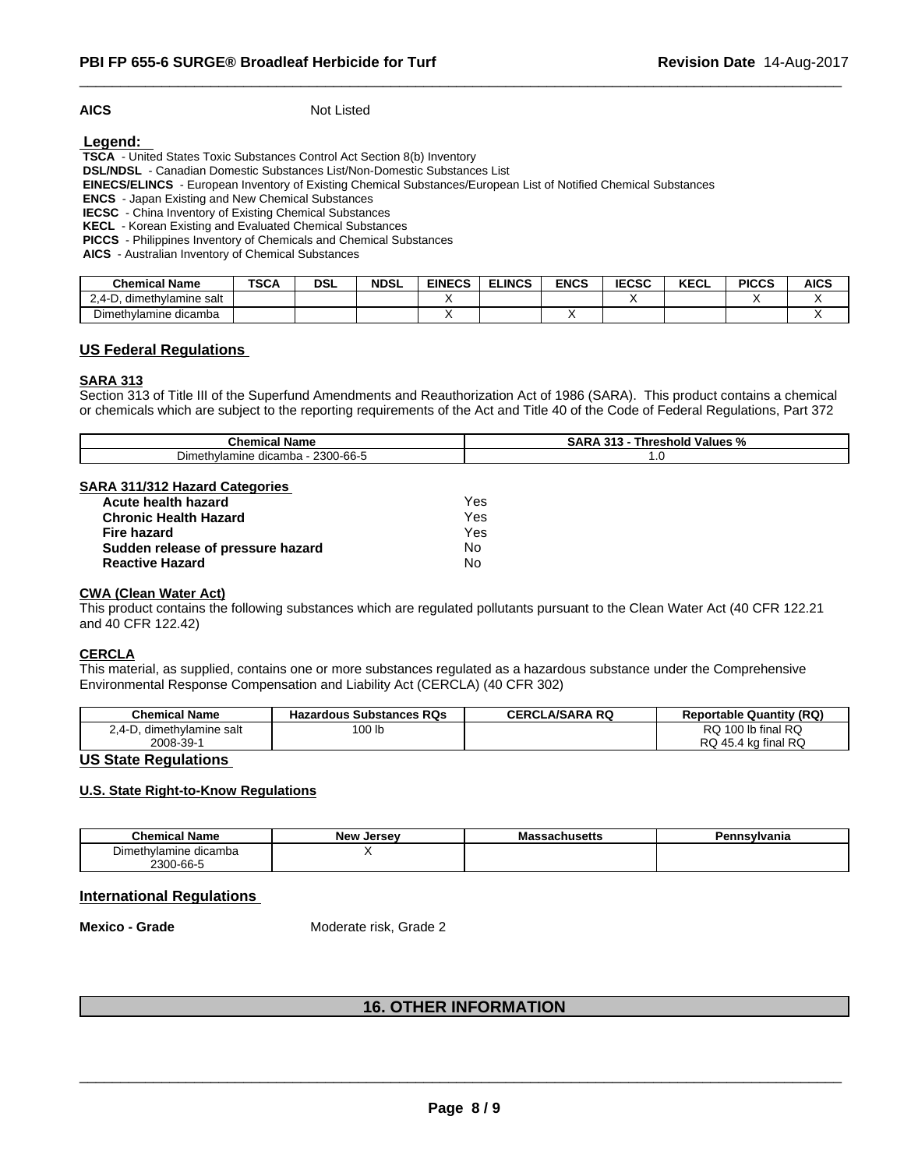**AICS** Not Listed

 **Legend:** 

 **TSCA** - United States Toxic Substances Control Act Section 8(b) Inventory

 **DSL/NDSL** - Canadian Domestic Substances List/Non-Domestic Substances List

 **EINECS/ELINCS** - European Inventory of Existing Chemical Substances/European List of Notified Chemical Substances

 **ENCS** - Japan Existing and New Chemical Substances

 **IECSC** - China Inventory of Existing Chemical Substances

 **KECL** - Korean Existing and Evaluated Chemical Substances

 **PICCS** - Philippines Inventory of Chemicals and Chemical Substances

 **AICS** - Australian Inventory of Chemical Substances

| <b>Chemical Name</b>               | <b>TCOA</b><br>งษศ | <b>DSL</b> | <b>NDSL</b> | <b>EINECS</b> | <b>ELINCS</b> | <b>ENCS</b> | IFAAA<br>ю.<br>cusu | I/T<br><b>KEUL</b> | <b>PICCS</b> | <b>AICS</b> |
|------------------------------------|--------------------|------------|-------------|---------------|---------------|-------------|---------------------|--------------------|--------------|-------------|
| , dimethylamine salt<br>$-0.4 - 1$ |                    |            |             |               |               |             |                     |                    |              |             |
| Dimethylamine dicamba              |                    |            |             |               |               |             |                     |                    |              |             |

### **US Federal Regulations**

#### **SARA 313**

Section 313 of Title III of the Superfund Amendments and Reauthorization Act of 1986 (SARA). This product contains a chemical or chemicals which are subject to the reporting requirements of the Act and Title 40 of the Code of Federal Regulations, Part 372

| ∣Name<br>Chemical                          | <br>Values<br>. hreshold<br>л<br>70 |  |  |
|--------------------------------------------|-------------------------------------|--|--|
| 2300-66-5<br>-<br>dicamba<br>Dimethylamine | $\sim$ 5.4                          |  |  |

#### **SARA 311/312 Hazard Categories**

| Acute health hazard               | Yes |  |
|-----------------------------------|-----|--|
| <b>Chronic Health Hazard</b>      | Yes |  |
| Fire hazard                       | Yes |  |
| Sudden release of pressure hazard | No  |  |
| <b>Reactive Hazard</b>            | No  |  |

#### **CWA** (Clean Water Act)

This product contains the following substances which are regulated pollutants pursuant to the Clean Water Act (40 CFR 122.21 and 40 CFR 122.42)

#### **CERCLA**

This material, as supplied, contains one or more substances regulated as a hazardous substance under the Comprehensive Environmental Response Compensation and Liability Act (CERCLA) (40 CFR 302)

| <b>Chemical Name</b>          | <b>Hazardous Substances RQs</b> | CERCLA/SARA RQ | <b>Reportable Quantity (RQ)</b> |
|-------------------------------|---------------------------------|----------------|---------------------------------|
| dimethylamine salt<br>4-<br>ັ | 100 <sub>h</sub>                |                | מם ו<br>100 lb final RQ<br>RQ.  |
| 2008-39-1                     |                                 |                | RQ 45.4 kg final RQ             |

#### **US State Regulations**

#### **U.S. State Right-to-Know Regulations**

| $\sim$<br>Name<br>emical<br>. . | <b>Now</b><br><b>LALCOU</b><br>$\sim$<br>.<br> | euchuacua | ranıa |
|---------------------------------|------------------------------------------------|-----------|-------|
| Dimethylamine dicamba           |                                                |           |       |
| 2300-66-5                       |                                                |           |       |

#### **International Regulations**

**Mexico - Grade** Moderate risk, Grade 2

### **16. OTHER INFORMATION**